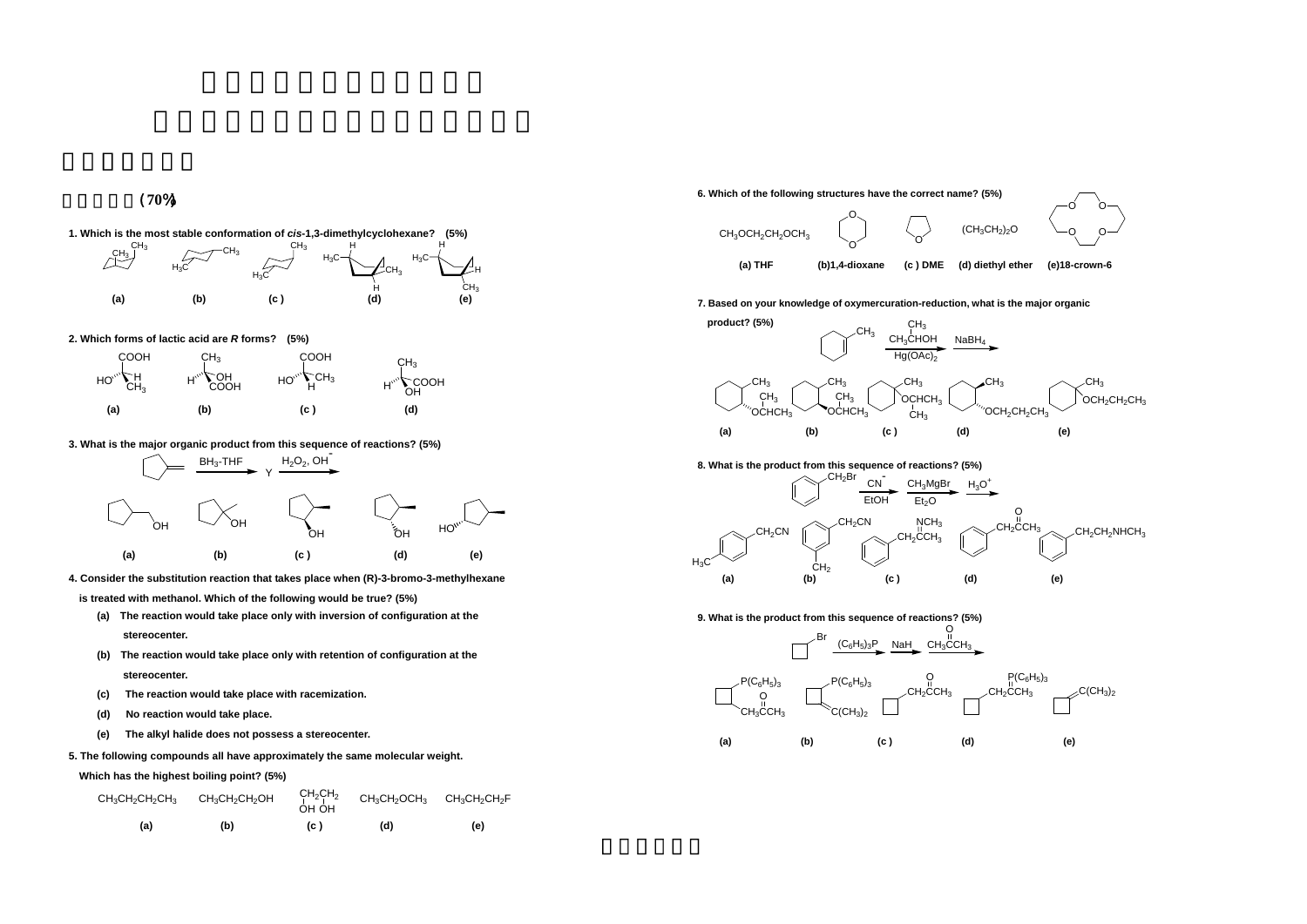一、選擇題(**70**%)

### **3. What is the major organic product from this sequence of reactions? (5%)**



**4. Consider the substitution reaction that takes place when (R)-3-bromo-3-methylhexane** 

**is treated with methanol. Which of the following would be true? (5%)**

- **(a) The reaction would take place only with inversion of configuration at the stereocenter.**
- **(b) The reaction would take place only with retention of configuration at the stereocenter.**
- **(c) The reaction would take place with racemization.**
- **(d) No reaction would take place.**
- **(e) The alkyl halide does not possess a stereocenter.**

#### **5. The following compounds all have approximately the same molecular weight.**



**Which has the highest boiling point? (5%)**









**8. What is the product from this sequence of reactions? (5%)**



| $CH_3CH_2CH_2CH_3$ | $\mathrm{CH_{3}CH_{2}CH_{2}OH}$ | $CH_2CH_2$<br>OH OH | $\text{CH}_{3}\text{CH}_{2}\text{OCH}_{3}$ $\text{CH}_{3}\text{CH}_{2}\text{CH}_{2}\text{F}$ |     |
|--------------------|---------------------------------|---------------------|----------------------------------------------------------------------------------------------|-----|
| (a)                | (b)                             | (C)                 | (d)                                                                                          | (e) |



**9. What is the product from this sequence of reactions? (5%)**



#### **2. Which forms of lactic acid are** *R* **forms? (5%)**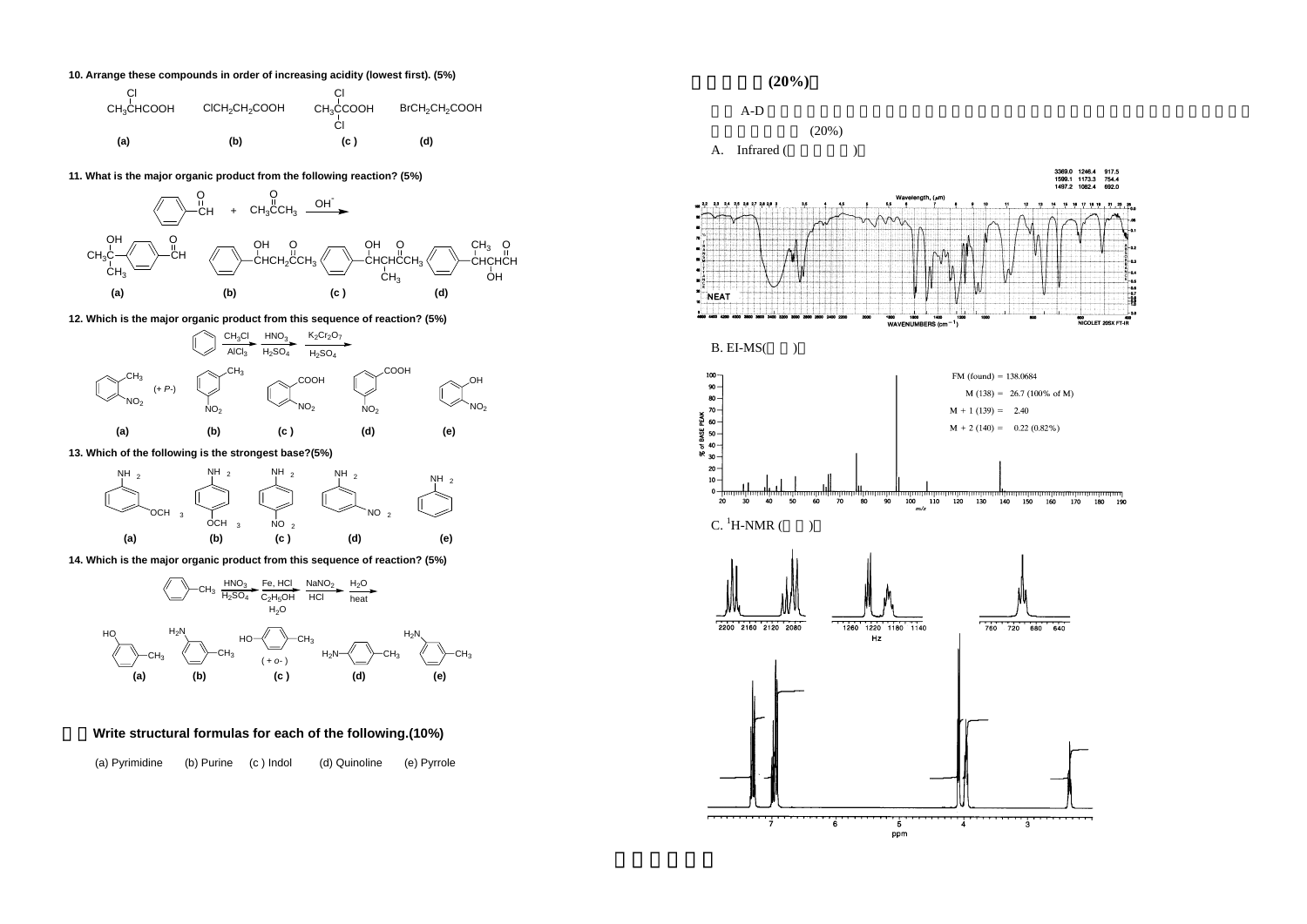**10. Arrange these compounds in order of increasing acidity (lowest first). (5%)**



**13. Which of the following is the strongest base?(5%)**



**14. Which is the major organic product from this sequence of reaction? (5%)**





## **Write structural formulas for each of the following.(10%)**



(a) Pyrimidine (b) Purine (c ) Indol (d) Quinoline (e) Pyrrole

# $(20\%)$



**11. What is the major organic product from the following reaction? (5%)**

**12. Which is the major organic product from this sequence of reaction? (5%)**